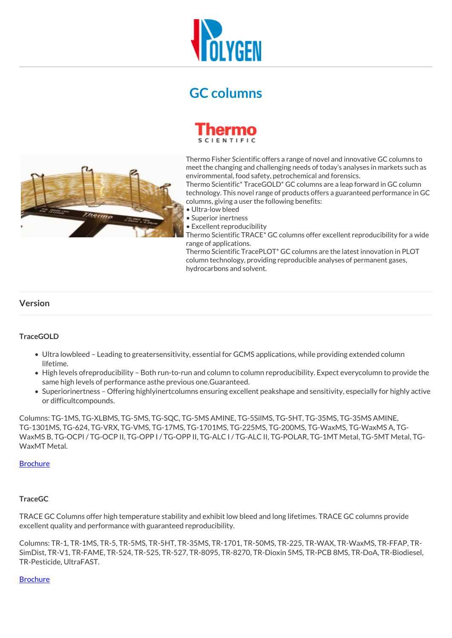

# **GC columns**



Thermo Fisher Scientific offers a range of novel and innovative GC columns to meet the changing and challenging needs of today's analyses in markets such as envirommental, food safety, petrochemical and forensics.

Thermo Scientific\* TraceGOLD\* GC columns are a leap forward in GC column technology. This novel range of products offers a guaranteed performance in GC columns, giving a user the following benefits:

- Ultra-low bleed
- Superior inertness

• Excellent reproducibility

Thermo Scientific TRACE\* GC columns offer excellent reproducibility for a wide range of applications.

Thermo Scientific TracePLOT\* GC columns are the latest innovation in PLOT column technology, providing reproducible analyses of permanent gases, hydrocarbons and solvent.

# **Version**

## **TraceGOLD**

- Ultra lowbleed Leading to greatersensitivity, essential for GCMS applications, while providing extended column lifetime.
- High levels ofreproducibility Both run-to-run and column to column reproducibility. Expect everycolumn to provide the same high levels of performance asthe previous one.Guaranteed.
- Superiorinertness Offering highlyinertcolumns ensuring excellent peakshape and sensitivity, especially for highly active or difficultcompounds.

Columns: TG-1MS, TG-XLBMS, TG-5MS, TG-SQC, TG-5MS AMINE, TG-5SilMS, TG-5HT, TG-35MS, TG-35MS AMINE, TG-1301MS, TG-624, TG-VRX, TG-VMS, TG-17MS, TG-1701MS, TG-225MS, TG-200MS, TG-WaxMS, TG-WaxMS A, TG-WaxMS B, TG-OCPI / TG-OCP II, TG-OPP I / TG-OPP II, TG-ALC I / TG-ALC II, TG-POLAR, TG-1MT Metal, TG-5MT Metal, TG-WaxMT Metal.

#### **[Brochure](https://www.polygen.com.pl/files/1293861923/file/kolumny-tracegold.pdf)**

## **TraceGC**

TRACE GC Columns offer high temperature stability and exhibit low bleed and long lifetimes. TRACE GC columns provide excellent quality and performance with guaranteed reproducibility.

Columns: TR-1, TR-1MS, TR-5, TR-5MS, TR-5HT, TR-35MS, TR-1701, TR-50MS, TR-225, TR-WAX, TR-WaxMS, TR-FFAP, TR-SimDist, TR-V1, TR-FAME, TR-524, TR-525, TR-527, TR-8095, TR-8270, TR-Dioxin 5MS, TR-PCB 8MS, TR-DoA, TR-Biodiesel, TR-Pesticide, UltraFAST.

## **[Brochure](https://www.polygen.com.pl/files/1293861923/file/kolumny-trace.pdf)**